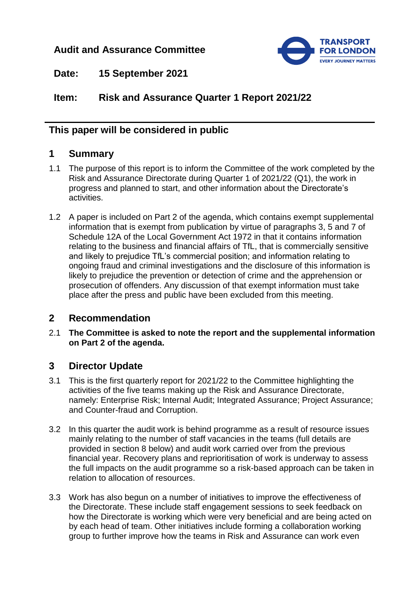## **Audit and Assurance Committee**



**Date: 15 September 2021**

**Item: Risk and Assurance Quarter 1 Report 2021/22**

## **This paper will be considered in public**

### **1 Summary**

- 1.1 The purpose of this report is to inform the Committee of the work completed by the Risk and Assurance Directorate during Quarter 1 of 2021/22 (Q1), the work in progress and planned to start, and other information about the Directorate's activities.
- 1.2 A paper is included on Part 2 of the agenda, which contains exempt supplemental information that is exempt from publication by virtue of paragraphs 3, 5 and 7 of Schedule 12A of the Local Government Act 1972 in that it contains information relating to the business and financial affairs of TfL, that is commercially sensitive and likely to prejudice TfL's commercial position; and information relating to ongoing fraud and criminal investigations and the disclosure of this information is likely to prejudice the prevention or detection of crime and the apprehension or prosecution of offenders. Any discussion of that exempt information must take place after the press and public have been excluded from this meeting.

# **2 Recommendation**

2.1 **The Committee is asked to note the report and the supplemental information on Part 2 of the agenda.**

### **3 Director Update**

- 3.1 This is the first quarterly report for 2021/22 to the Committee highlighting the activities of the five teams making up the Risk and Assurance Directorate, namely: Enterprise Risk; Internal Audit; Integrated Assurance; Project Assurance; and Counter-fraud and Corruption.
- 3.2 In this quarter the audit work is behind programme as a result of resource issues mainly relating to the number of staff vacancies in the teams (full details are provided in section 8 below) and audit work carried over from the previous financial year. Recovery plans and reprioritisation of work is underway to assess the full impacts on the audit programme so a risk-based approach can be taken in relation to allocation of resources.
- 3.3 Work has also begun on a number of initiatives to improve the effectiveness of the Directorate. These include staff engagement sessions to seek feedback on how the Directorate is working which were very beneficial and are being acted on by each head of team. Other initiatives include forming a collaboration working group to further improve how the teams in Risk and Assurance can work even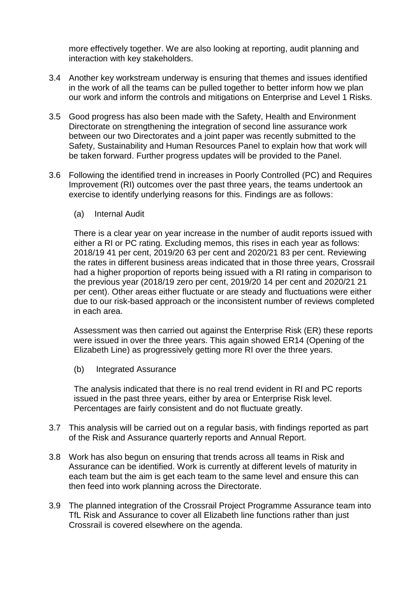more effectively together. We are also looking at reporting, audit planning and interaction with key stakeholders.

- 3.4 Another key workstream underway is ensuring that themes and issues identified in the work of all the teams can be pulled together to better inform how we plan our work and inform the controls and mitigations on Enterprise and Level 1 Risks.
- 3.5 Good progress has also been made with the Safety, Health and Environment Directorate on strengthening the integration of second line assurance work between our two Directorates and a joint paper was recently submitted to the Safety, Sustainability and Human Resources Panel to explain how that work will be taken forward. Further progress updates will be provided to the Panel.
- 3.6 Following the identified trend in increases in Poorly Controlled (PC) and Requires Improvement (RI) outcomes over the past three years, the teams undertook an exercise to identify underlying reasons for this. Findings are as follows:
	- (a) Internal Audit

There is a clear year on year increase in the number of audit reports issued with either a RI or PC rating. Excluding memos, this rises in each year as follows: 2018/19 41 per cent, 2019/20 63 per cent and 2020/21 83 per cent. Reviewing the rates in different business areas indicated that in those three years, Crossrail had a higher proportion of reports being issued with a RI rating in comparison to the previous year (2018/19 zero per cent, 2019/20 14 per cent and 2020/21 21 per cent). Other areas either fluctuate or are steady and fluctuations were either due to our risk-based approach or the inconsistent number of reviews completed in each area.

Assessment was then carried out against the Enterprise Risk (ER) these reports were issued in over the three years. This again showed ER14 (Opening of the Elizabeth Line) as progressively getting more RI over the three years.

(b) Integrated Assurance

The analysis indicated that there is no real trend evident in RI and PC reports issued in the past three years, either by area or Enterprise Risk level. Percentages are fairly consistent and do not fluctuate greatly.

- 3.7 This analysis will be carried out on a regular basis, with findings reported as part of the Risk and Assurance quarterly reports and Annual Report.
- 3.8 Work has also begun on ensuring that trends across all teams in Risk and Assurance can be identified. Work is currently at different levels of maturity in each team but the aim is get each team to the same level and ensure this can then feed into work planning across the Directorate.
- 3.9 The planned integration of the Crossrail Project Programme Assurance team into TfL Risk and Assurance to cover all Elizabeth line functions rather than just Crossrail is covered elsewhere on the agenda.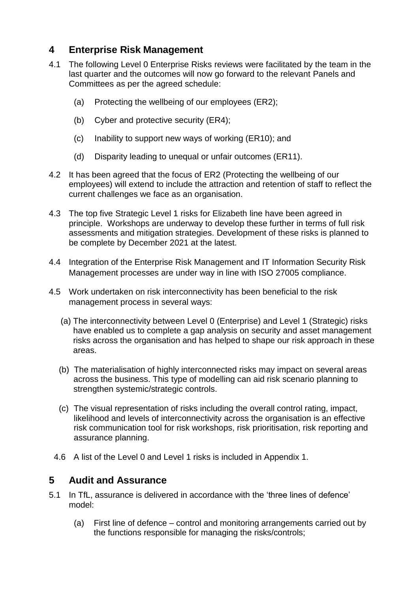## **4 Enterprise Risk Management**

- 4.1 The following Level 0 Enterprise Risks reviews were facilitated by the team in the last quarter and the outcomes will now go forward to the relevant Panels and Committees as per the agreed schedule:
	- (a) Protecting the wellbeing of our employees (ER2);
	- (b) Cyber and protective security (ER4);
	- (c) Inability to support new ways of working (ER10); and
	- (d) Disparity leading to unequal or unfair outcomes (ER11).
- 4.2 It has been agreed that the focus of ER2 (Protecting the wellbeing of our employees) will extend to include the attraction and retention of staff to reflect the current challenges we face as an organisation.
- 4.3 The top five Strategic Level 1 risks for Elizabeth line have been agreed in principle. Workshops are underway to develop these further in terms of full risk assessments and mitigation strategies. Development of these risks is planned to be complete by December 2021 at the latest.
- 4.4 Integration of the Enterprise Risk Management and IT Information Security Risk Management processes are under way in line with ISO 27005 compliance.
- 4.5 Work undertaken on risk interconnectivity has been beneficial to the risk management process in several ways:
	- (a) The interconnectivity between Level 0 (Enterprise) and Level 1 (Strategic) risks have enabled us to complete a gap analysis on security and asset management risks across the organisation and has helped to shape our risk approach in these areas.
	- (b) The materialisation of highly interconnected risks may impact on several areas across the business. This type of modelling can aid risk scenario planning to strengthen systemic/strategic controls.
	- (c) The visual representation of risks including the overall control rating, impact, likelihood and levels of interconnectivity across the organisation is an effective risk communication tool for risk workshops, risk prioritisation, risk reporting and assurance planning.
- 4.6 A list of the Level 0 and Level 1 risks is included in Appendix 1.

### **5 Audit and Assurance**

- 5.1 In TfL, assurance is delivered in accordance with the 'three lines of defence' model:
	- (a) First line of defence control and monitoring arrangements carried out by the functions responsible for managing the risks/controls;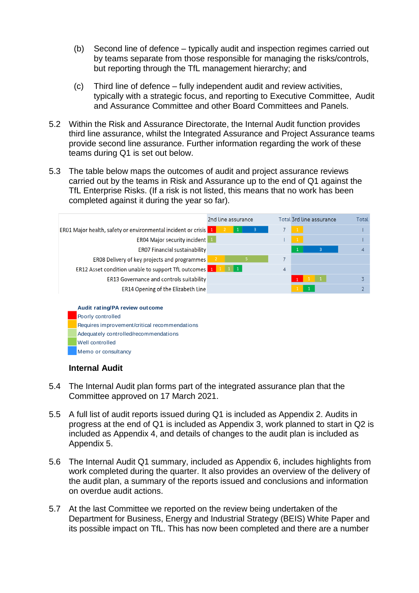- (b) Second line of defence typically audit and inspection regimes carried out by teams separate from those responsible for managing the risks/controls, but reporting through the TfL management hierarchy; and
- (c) Third line of defence fully independent audit and review activities, typically with a strategic focus, and reporting to Executive Committee, Audit and Assurance Committee and other Board Committees and Panels.
- 5.2 Within the Risk and Assurance Directorate, the Internal Audit function provides third line assurance, whilst the Integrated Assurance and Project Assurance teams provide second line assurance. Further information regarding the work of these teams during Q1 is set out below.
- 5.3 The table below maps the outcomes of audit and project assurance reviews carried out by the teams in Risk and Assurance up to the end of Q1 against the TfL Enterprise Risks. (If a risk is not listed, this means that no work has been completed against it during the year so far).



#### **Internal Audit**

- 5.4 The Internal Audit plan forms part of the integrated assurance plan that the Committee approved on 17 March 2021.
- 5.5 A full list of audit reports issued during Q1 is included as Appendix 2. Audits in progress at the end of Q1 is included as Appendix 3, work planned to start in Q2 is included as Appendix 4, and details of changes to the audit plan is included as Appendix 5.
- 5.6 The Internal Audit Q1 summary, included as Appendix 6, includes highlights from work completed during the quarter. It also provides an overview of the delivery of the audit plan, a summary of the reports issued and conclusions and information on overdue audit actions.
- 5.7 At the last Committee we reported on the review being undertaken of the Department for Business, Energy and Industrial Strategy (BEIS) White Paper and its possible impact on TfL. This has now been completed and there are a number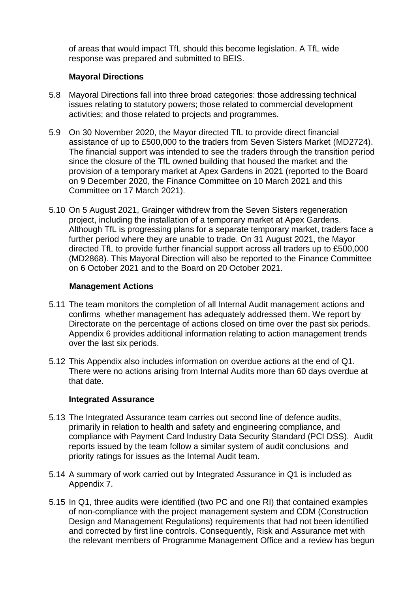of areas that would impact TfL should this become legislation. A TfL wide response was prepared and submitted to BEIS.

#### **Mayoral Directions**

- 5.8 Mayoral Directions fall into three broad categories: those addressing technical issues relating to statutory powers; those related to commercial development activities; and those related to projects and programmes.
- 5.9 On 30 November 2020, the Mayor directed TfL to provide direct financial assistance of up to £500,000 to the traders from Seven Sisters Market (MD2724). The financial support was intended to see the traders through the transition period since the closure of the TfL owned building that housed the market and the provision of a temporary market at Apex Gardens in 2021 (reported to the Board on 9 December 2020, the Finance Committee on 10 March 2021 and this Committee on 17 March 2021).
- 5.10 On 5 August 2021, Grainger withdrew from the Seven Sisters regeneration project, including the installation of a temporary market at Apex Gardens. Although TfL is progressing plans for a separate temporary market, traders face a further period where they are unable to trade. On 31 August 2021, the Mayor directed TfL to provide further financial support across all traders up to £500,000 (MD2868). This Mayoral Direction will also be reported to the Finance Committee on 6 October 2021 and to the Board on 20 October 2021.

#### **Management Actions**

- 5.11 The team monitors the completion of all Internal Audit management actions and confirms whether management has adequately addressed them. We report by Directorate on the percentage of actions closed on time over the past six periods. Appendix 6 provides additional information relating to action management trends over the last six periods.
- 5.12 This Appendix also includes information on overdue actions at the end of Q1. There were no actions arising from Internal Audits more than 60 days overdue at that date.

#### **Integrated Assurance**

- 5.13 The Integrated Assurance team carries out second line of defence audits, primarily in relation to health and safety and engineering compliance, and compliance with Payment Card Industry Data Security Standard (PCI DSS). Audit reports issued by the team follow a similar system of audit conclusions and priority ratings for issues as the Internal Audit team.
- 5.14 A summary of work carried out by Integrated Assurance in Q1 is included as Appendix 7.
- 5.15 In Q1, three audits were identified (two PC and one RI) that contained examples of non-compliance with the project management system and CDM (Construction Design and Management Regulations) requirements that had not been identified and corrected by first line controls. Consequently, Risk and Assurance met with the relevant members of Programme Management Office and a review has begun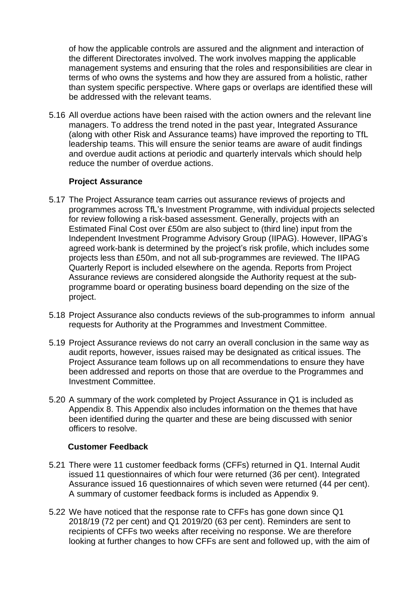of how the applicable controls are assured and the alignment and interaction of the different Directorates involved. The work involves mapping the applicable management systems and ensuring that the roles and responsibilities are clear in terms of who owns the systems and how they are assured from a holistic, rather than system specific perspective. Where gaps or overlaps are identified these will be addressed with the relevant teams.

5.16 All overdue actions have been raised with the action owners and the relevant line managers. To address the trend noted in the past year, Integrated Assurance (along with other Risk and Assurance teams) have improved the reporting to TfL leadership teams. This will ensure the senior teams are aware of audit findings and overdue audit actions at periodic and quarterly intervals which should help reduce the number of overdue actions.

#### **Project Assurance**

- 5.17 The Project Assurance team carries out assurance reviews of projects and programmes across TfL's Investment Programme, with individual projects selected for review following a risk-based assessment. Generally, projects with an Estimated Final Cost over £50m are also subject to (third line) input from the Independent Investment Programme Advisory Group (IIPAG). However, IIPAG's agreed work-bank is determined by the project's risk profile, which includes some projects less than £50m, and not all sub-programmes are reviewed. The IIPAG Quarterly Report is included elsewhere on the agenda. Reports from Project Assurance reviews are considered alongside the Authority request at the subprogramme board or operating business board depending on the size of the project.
- 5.18 Project Assurance also conducts reviews of the sub-programmes to inform annual requests for Authority at the Programmes and Investment Committee.
- 5.19 Project Assurance reviews do not carry an overall conclusion in the same way as audit reports, however, issues raised may be designated as critical issues. The Project Assurance team follows up on all recommendations to ensure they have been addressed and reports on those that are overdue to the Programmes and Investment Committee.
- 5.20 A summary of the work completed by Project Assurance in Q1 is included as Appendix 8. This Appendix also includes information on the themes that have been identified during the quarter and these are being discussed with senior officers to resolve.

#### **Customer Feedback**

- 5.21 There were 11 customer feedback forms (CFFs) returned in Q1. Internal Audit issued 11 questionnaires of which four were returned (36 per cent). Integrated Assurance issued 16 questionnaires of which seven were returned (44 per cent). A summary of customer feedback forms is included as Appendix 9.
- 5.22 We have noticed that the response rate to CFFs has gone down since Q1 2018/19 (72 per cent) and Q1 2019/20 (63 per cent). Reminders are sent to recipients of CFFs two weeks after receiving no response. We are therefore looking at further changes to how CFFs are sent and followed up, with the aim of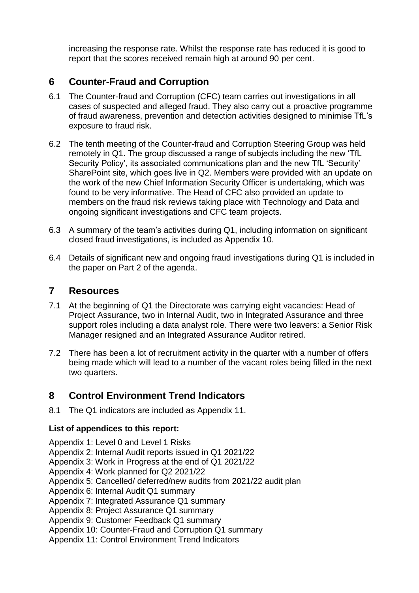increasing the response rate. Whilst the response rate has reduced it is good to report that the scores received remain high at around 90 per cent.

## **6 Counter-Fraud and Corruption**

- 6.1 The Counter-fraud and Corruption (CFC) team carries out investigations in all cases of suspected and alleged fraud. They also carry out a proactive programme of fraud awareness, prevention and detection activities designed to minimise TfL's exposure to fraud risk.
- 6.2 The tenth meeting of the Counter-fraud and Corruption Steering Group was held remotely in Q1. The group discussed a range of subjects including the new 'TfL Security Policy', its associated communications plan and the new TfL 'Security' SharePoint site, which goes live in Q2. Members were provided with an update on the work of the new Chief Information Security Officer is undertaking, which was found to be very informative. The Head of CFC also provided an update to members on the fraud risk reviews taking place with Technology and Data and ongoing significant investigations and CFC team projects.
- 6.3 A summary of the team's activities during Q1, including information on significant closed fraud investigations, is included as Appendix 10.
- 6.4 Details of significant new and ongoing fraud investigations during Q1 is included in the paper on Part 2 of the agenda.

### **7 Resources**

- 7.1 At the beginning of Q1 the Directorate was carrying eight vacancies: Head of Project Assurance, two in Internal Audit, two in Integrated Assurance and three support roles including a data analyst role. There were two leavers: a Senior Risk Manager resigned and an Integrated Assurance Auditor retired.
- 7.2 There has been a lot of recruitment activity in the quarter with a number of offers being made which will lead to a number of the vacant roles being filled in the next two quarters.

### **8 Control Environment Trend Indicators**

8.1 The Q1 indicators are included as Appendix 11.

#### **List of appendices to this report:**

Appendix 1: Level 0 and Level 1 Risks

Appendix 2: Internal Audit reports issued in Q1 2021/22

Appendix 3: Work in Progress at the end of Q1 2021/22

Appendix 4: Work planned for Q2 2021/22

Appendix 5: Cancelled/ deferred/new audits from 2021/22 audit plan

Appendix 6: Internal Audit Q1 summary

Appendix 7: Integrated Assurance Q1 summary

Appendix 8: Project Assurance Q1 summary

Appendix 9: Customer Feedback Q1 summary

Appendix 10: Counter-Fraud and Corruption Q1 summary

Appendix 11: Control Environment Trend Indicators